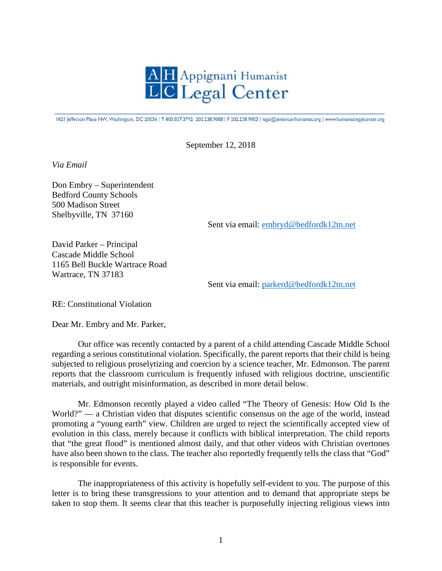

1821 Jefferson Place NW, Washington, DC 20036 | T 800.837.3792 202.238.9088 | F 202.238.9003 | legal@americanhumanist.org | www.humanistlegalcenter.org

September 12, 2018

*Via Email*

Don Embry – Superintendent Bedford County Schools 500 Madison Street Shelbyville, TN 37160

Sent via email: [embryd@bedfordk12tn.net](mailto:embryd@bedfordk12tn.net)

David Parker – Principal Cascade Middle School 1165 Bell Buckle Wartrace Road Wartrace, TN 37183

Sent via email: [parkerd@bedfordk12tn.net](mailto:parkerd@bedfordk12tn.net)

RE: Constitutional Violation

Dear Mr. Embry and Mr. Parker,

Our office was recently contacted by a parent of a child attending Cascade Middle School regarding a serious constitutional violation. Specifically, the parent reports that their child is being subjected to religious proselytizing and coercion by a science teacher, Mr. Edmonson. The parent reports that the classroom curriculum is frequently infused with religious doctrine, unscientific materials, and outright misinformation, as described in more detail below.

Mr. Edmonson recently played a video called "The Theory of Genesis: How Old Is the World?" — a Christian video that disputes scientific consensus on the age of the world, instead promoting a "young earth" view. Children are urged to reject the scientifically accepted view of evolution in this class, merely because it conflicts with biblical interpretation. The child reports that "the great flood" is mentioned almost daily, and that other videos with Christian overtones have also been shown to the class. The teacher also reportedly frequently tells the class that "God" is responsible for events.

The inappropriateness of this activity is hopefully self-evident to you. The purpose of this letter is to bring these transgressions to your attention and to demand that appropriate steps be taken to stop them. It seems clear that this teacher is purposefully injecting religious views into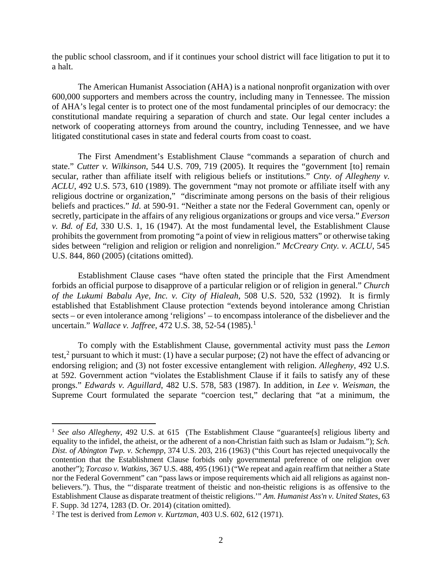the public school classroom, and if it continues your school district will face litigation to put it to a halt.

The American Humanist Association (AHA) is a national nonprofit organization with over 600,000 supporters and members across the country, including many in Tennessee. The mission of AHA's legal center is to protect one of the most fundamental principles of our democracy: the constitutional mandate requiring a separation of church and state. Our legal center includes a network of cooperating attorneys from around the country, including Tennessee, and we have litigated constitutional cases in state and federal courts from coast to coast.

The First Amendment's Establishment Clause "commands a separation of church and state." *Cutter v. Wilkinson*, 544 U.S. 709, 719 (2005). It requires the "government [to] remain secular, rather than affiliate itself with religious beliefs or institutions." *Cnty. of Allegheny v. ACLU,* 492 U.S. 573, 610 (1989). The government "may not promote or affiliate itself with any religious doctrine or organization," "discriminate among persons on the basis of their religious beliefs and practices." *Id.* at 590-91. "Neither a state nor the Federal Government can, openly or secretly, participate in the affairs of any religious organizations or groups and vice versa." *Everson v. Bd. of Ed*, 330 U.S. 1, 16 (1947). At the most fundamental level, the Establishment Clause prohibits the government from promoting "a point of view in religious matters" or otherwise taking sides between "religion and religion or religion and nonreligion." *McCreary Cnty. v. ACLU*, 545 U.S. 844, 860 (2005) (citations omitted).

Establishment Clause cases "have often stated the principle that the First Amendment forbids an official purpose to disapprove of a particular religion or of religion in general." *Church of the Lukumi Babalu Aye, Inc. v. City of Hialeah*, 508 U.S. 520, 532 (1992). It is firmly established that Establishment Clause protection "extends beyond intolerance among Christian sects – or even intolerance among 'religions' – to encompass intolerance of the disbeliever and the uncertain." *Wallace v. Jaffree*, 472 U.S. 38, 52-54 (1985). [1](#page-1-0)

To comply with the Establishment Clause, governmental activity must pass the *Lemon*  test,<sup>[2](#page-1-1)</sup> pursuant to which it must: (1) have a secular purpose; (2) not have the effect of advancing or endorsing religion; and (3) not foster excessive entanglement with religion. *Allegheny*, 492 U.S*.*  at 592. Government action "violates the Establishment Clause if it fails to satisfy any of these prongs." *Edwards v. Aguillard*, 482 U.S. 578, 583 (1987). In addition, in *Lee v. Weisman*, the Supreme Court formulated the separate "coercion test," declaring that "at a minimum, the

<span id="page-1-0"></span><sup>&</sup>lt;sup>1</sup> See also Allegheny, 492 U.S. at 615 (The Establishment Clause "guarantee[s] religious liberty and equality to the infidel, the atheist, or the adherent of a non-Christian faith such as Islam or Judaism."); *Sch. Dist. of Abington Twp. v. Schempp*, 374 U.S. 203, 216 (1963) ("this Court has rejected unequivocally the contention that the Establishment Clause forbids only governmental preference of one religion over another"); *Torcaso v. Watkins*, 367 U.S. 488, 495 (1961) ("We repeat and again reaffirm that neither a State nor the Federal Government" can "pass laws or impose requirements which aid all religions as against nonbelievers."). Thus, the "'disparate treatment of theistic and non-theistic religions is as offensive to the Establishment Clause as disparate treatment of theistic religions.'" *Am. Humanist Ass'n v. United States*, 63 F. Supp. 3d 1274, 1283 (D. Or. 2014) (citation omitted).

<span id="page-1-1"></span><sup>2</sup> The test is derived from *Lemon v. Kurtzman*, 403 U.S. 602, 612 (1971).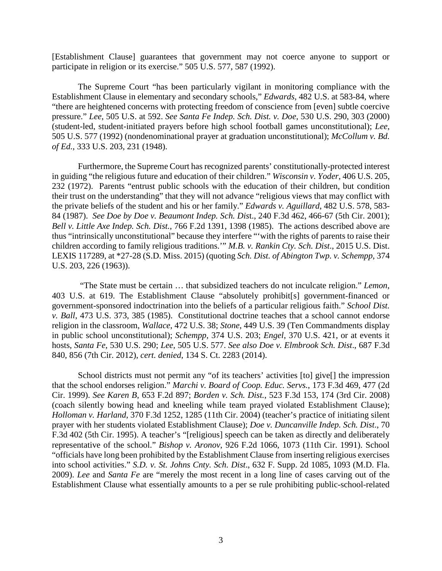[Establishment Clause] guarantees that government may not coerce anyone to support or participate in religion or its exercise." 505 U.S. 577, 587 (1992).

The Supreme Court "has been particularly vigilant in monitoring compliance with the Establishment Clause in elementary and secondary schools," *Edwards*, 482 U.S. at 583-84, where "there are heightened concerns with protecting freedom of conscience from [even] subtle coercive pressure." *Lee*, 505 U.S. at 592. *See Santa Fe Indep. Sch. Dist. v. Doe*, 530 U.S. 290, 303 (2000) (student-led, student-initiated prayers before high school football games unconstitutional); *Lee*, 505 U.S. 577 (1992) (nondenominational prayer at graduation unconstitutional); *McCollum v. Bd. of Ed.*, 333 U.S. 203, 231 (1948).

Furthermore, the Supreme Court has recognized parents' constitutionally-protected interest in guiding "the religious future and education of their children." *Wisconsin v. Yoder*, 406 U.S. 205, 232 (1972). Parents "entrust public schools with the education of their children, but condition their trust on the understanding" that they will not advance "religious views that may conflict with the private beliefs of the student and his or her family." *Edwards v. Aguillard*, 482 U.S. 578, 583- 84 (1987). *See Doe by Doe v. Beaumont Indep. Sch. Dis*t., 240 F.3d 462, 466-67 (5th Cir. 2001); *Bell v. Little Axe Indep. Sch. Dist.*, 766 F.2d 1391, 1398 (1985). The actions described above are thus "intrinsically unconstitutional" because they interfere "'with the rights of parents to raise their children according to family religious traditions.'" *M.B. v. Rankin Cty. Sch. Dist*., 2015 U.S. Dist. LEXIS 117289, at \*27-28 (S.D. Miss. 2015) (quoting *Sch. Dist. of Abington Twp. v. Schempp*, 374 U.S. 203, 226 (1963)).

"The State must be certain … that subsidized teachers do not inculcate religion." *Lemon*, 403 U.S. at 619. The Establishment Clause "absolutely prohibit[s] government-financed or government-sponsored indoctrination into the beliefs of a particular religious faith." *School Dist. v. Ball*, 473 U.S. 373, 385 (1985). Constitutional doctrine teaches that a school cannot endorse religion in the classroom, *Wallace*, 472 U.S. 38; *Stone*, 449 U.S. 39 (Ten Commandments display in public school unconstitutional); *Schempp*, 374 U.S. 203; *Engel*, 370 U.S. 421, or at events it hosts, *Santa Fe*, 530 U.S. 290; *Lee*, 505 U.S. 577. *See also Doe v. Elmbrook Sch. Dist*., 687 F.3d 840, 856 (7th Cir. 2012), *cert. denied*, 134 S. Ct. 2283 (2014).

School districts must not permit any "of its teachers' activities [to] give<sup>[]</sup> the impression that the school endorses religion." *Marchi v. Board of Coop. Educ. Servs.*, 173 F.3d 469, 477 (2d Cir. 1999). *See Karen B*, 653 F.2d 897; *Borden v. Sch. Dist.*, 523 F.3d 153, 174 (3rd Cir. 2008) (coach silently bowing head and kneeling while team prayed violated Establishment Clause); *Holloman v. Harland*, 370 F.3d 1252, 1285 (11th Cir. 2004) (teacher's practice of initiating silent prayer with her students violated Establishment Clause); *Doe v. Duncanville Indep. Sch. Dist*., 70 F.3d 402 (5th Cir. 1995). A teacher's "[religious] speech can be taken as directly and deliberately representative of the school." *Bishop v. Aronov*, 926 F.2d 1066, 1073 (11th Cir. 1991). School "officials have long been prohibited by the Establishment Clause from inserting religious exercises into school activities." *S.D. v. St. Johns Cnty. Sch. Dist*., 632 F. Supp. 2d 1085, 1093 (M.D. Fla. 2009). *Lee* and *Santa Fe* are "merely the most recent in a long line of cases carving out of the Establishment Clause what essentially amounts to a per se rule prohibiting public-school-related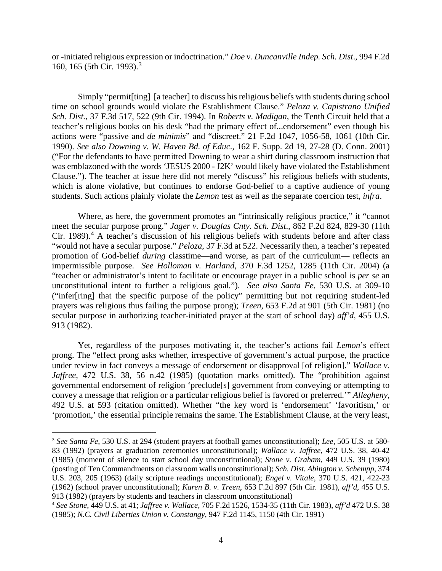or -initiated religious expression or indoctrination." *Doe v. Duncanville Indep. Sch. Dist*., 994 F.2d 160, 165 (5th Cir. 1993).[3](#page-3-0)

Simply "permit[ting] [a teacher] to discuss his religious beliefs with students during school time on school grounds would violate the Establishment Clause." *Peloza v. Capistrano Unified Sch. Dist.*, 37 F.3d 517, 522 (9th Cir. 1994). In *Roberts v. Madigan*, the Tenth Circuit held that a teacher's religious books on his desk "had the primary effect of...endorsement" even though his actions were "passive and *de minimis*" and "discreet." 21 F.2d 1047, 1056-58, 1061 (10th Cir. 1990). *See also Downing v. W. Haven Bd. of Educ*., 162 F. Supp. 2d 19, 27-28 (D. Conn. 2001) ("For the defendants to have permitted Downing to wear a shirt during classroom instruction that was emblazoned with the words 'JESUS 2000 - J2K' would likely have violated the Establishment Clause."). The teacher at issue here did not merely "discuss" his religious beliefs with students, which is alone violative, but continues to endorse God-belief to a captive audience of young students. Such actions plainly violate the *Lemon* test as well as the separate coercion test, *infra*.

Where, as here, the government promotes an "intrinsically religious practice," it "cannot" meet the secular purpose prong." *Jager v. Douglas Cnty. Sch. Dist*., 862 F.2d 824, 829-30 (11th Cir. 1989).<sup>[4](#page-3-1)</sup> A teacher's discussion of his religious beliefs with students before and after class "would not have a secular purpose." *Peloza*, 37 F.3d at 522. Necessarily then, a teacher's repeated promotion of God-belief *during* classtime—and worse, as part of the curriculum— reflects an impermissible purpose. *See Holloman v. Harland*, 370 F.3d 1252, 1285 (11th Cir. 2004) (a "teacher or administrator's intent to facilitate or encourage prayer in a public school is *per se* an unconstitutional intent to further a religious goal*.*"). *See also Santa Fe*, 530 U.S. at 309-10 ("infer[ring] that the specific purpose of the policy" permitting but not requiring student-led prayers was religious thus failing the purpose prong); *Treen*, 653 F.2d at 901 (5th Cir. 1981) (no secular purpose in authorizing teacher-initiated prayer at the start of school day) *aff'd*, 455 U.S. 913 (1982).

Yet, regardless of the purposes motivating it, the teacher's actions fail *Lemon*'s effect prong. The "effect prong asks whether, irrespective of government's actual purpose, the practice under review in fact conveys a message of endorsement or disapproval [of religion]." *Wallace v. Jaffree*, 472 U.S. 38, 56 n.42 (1985) (quotation marks omitted). The "prohibition against governmental endorsement of religion 'preclude[s] government from conveying or attempting to convey a message that religion or a particular religious belief is favored or preferred.'" *Allegheny*, 492 U.S. at 593 (citation omitted). Whether "the key word is 'endorsement' 'favoritism,' or 'promotion,' the essential principle remains the same. The Establishment Clause, at the very least,

<span id="page-3-0"></span><sup>3</sup> *See Santa Fe*, 530 U.S. at 294 (student prayers at football games unconstitutional); *Lee*, 505 U.S. at 580- 83 (1992) (prayers at graduation ceremonies unconstitutional); *Wallace v. Jaffree*, 472 U.S. 38, 40-42 (1985) (moment of silence to start school day unconstitutional); *Stone v. Graham*, 449 U.S. 39 (1980) (posting of Ten Commandments on classroom walls unconstitutional); *Sch. Dist. Abington v. Schempp*, 374 U.S. 203, 205 (1963) (daily scripture readings unconstitutional); *Engel v. Vitale*, 370 U.S. 421, 422-23 (1962) (school prayer unconstitutional); *Karen B. v. Treen*, 653 F.2d 897 (5th Cir. 1981), *aff'd*, 455 U.S. 913 (1982) (prayers by students and teachers in classroom unconstitutional)

<span id="page-3-1"></span><sup>4</sup> *See Stone*, 449 U.S. at 41; *Jaffree v. Wallace*, 705 F.2d 1526, 1534-35 (11th Cir. 1983), *aff'd* 472 U.S. 38 (1985); *N.C. Civil Liberties Union v. Constangy*, 947 F.2d 1145, 1150 (4th Cir. 1991)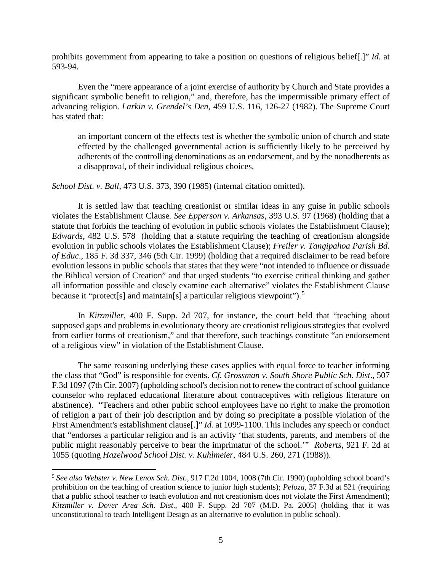prohibits government from appearing to take a position on questions of religious belief[.]" *Id.* at 593-94.

Even the "mere appearance of a joint exercise of authority by Church and State provides a significant symbolic benefit to religion," and, therefore, has the impermissible primary effect of advancing religion. *Larkin v. Grendel's Den*, 459 U.S. 116, 126-27 (1982). The Supreme Court has stated that:

an important concern of the effects test is whether the symbolic union of church and state effected by the challenged governmental action is sufficiently likely to be perceived by adherents of the controlling denominations as an endorsement, and by the nonadherents as a disapproval, of their individual religious choices.

*School Dist. v. Ball*, 473 U.S. 373, 390 (1985) (internal citation omitted).

It is settled law that teaching creationist or similar ideas in any guise in public schools violates the Establishment Clause*. See Epperson v. Arkansas*, 393 U.S. 97 (1968) (holding that a statute that forbids the teaching of evolution in public schools violates the Establishment Clause); *Edwards*, 482 U.S. 578 (holding that a statute requiring the teaching of creationism alongside evolution in public schools violates the Establishment Clause); *Freiler v. Tangipahoa Parish Bd. of Educ*., 185 F. 3d 337, 346 (5th Cir. 1999) (holding that a required disclaimer to be read before evolution lessons in public schools that states that they were "not intended to influence or dissuade the Biblical version of Creation" and that urged students "to exercise critical thinking and gather all information possible and closely examine each alternative" violates the Establishment Clause because it "protect[s] and maintain[s] a particular religious viewpoint").<sup>[5](#page-4-0)</sup>

In *Kitzmiller*, 400 F. Supp. 2d 707, for instance, the court held that "teaching about supposed gaps and problems in evolutionary theory are creationist religious strategies that evolved from earlier forms of creationism," and that therefore, such teachings constitute "an endorsement of a religious view" in violation of the Establishment Clause.

The same reasoning underlying these cases applies with equal force to teacher informing the class that "God" is responsible for events. *Cf. Grossman v. South Shore Public Sch. Dist*., 507 F.3d 1097 (7th Cir. 2007) (upholding school's decision not to renew the contract of school guidance counselor who replaced educational literature about contraceptives with religious literature on abstinence). "Teachers and other public school employees have no right to make the promotion of religion a part of their job description and by doing so precipitate a possible violation of the First Amendment's establishment clause[.]" *Id.* at 1099-1100. This includes any speech or conduct that "endorses a particular religion and is an activity 'that students, parents, and members of the public might reasonably perceive to bear the imprimatur of the school.'" *Roberts*, 921 F. 2d at 1055 (quoting *Hazelwood School Dist. v. Kuhlmeier*, 484 U.S. 260, 271 (1988)).

<span id="page-4-0"></span><sup>5</sup> *See also Webster v. New Lenox Sch. Dist.*, 917 F.2d 1004, 1008 (7th Cir. 1990) (upholding school board's prohibition on the teaching of creation science to junior high students); *Peloza*, 37 F.3d at 521 (requiring that a public school teacher to teach evolution and not creationism does not violate the First Amendment); *Kitzmiller v. Dover Area Sch. Dist*., 400 F. Supp. 2d 707 (M.D. Pa. 2005) (holding that it was unconstitutional to teach Intelligent Design as an alternative to evolution in public school).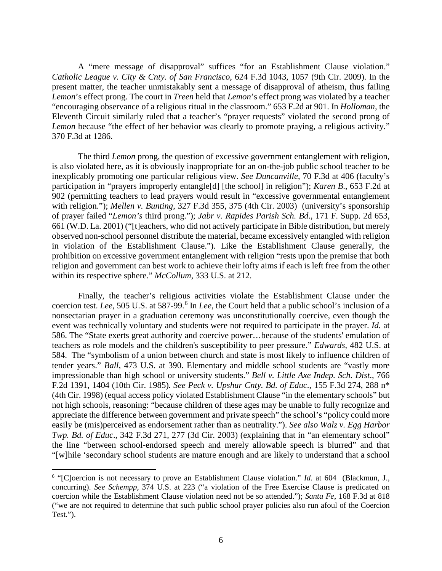A "mere message of disapproval" suffices "for an Establishment Clause violation." *Catholic League v. City & Cnty. of San Francisco*, 624 F.3d 1043, 1057 (9th Cir. 2009). In the present matter, the teacher unmistakably sent a message of disapproval of atheism, thus failing *Lemon*'s effect prong. The court in *Treen* held that *Lemon*'s effect prong was violated by a teacher "encouraging observance of a religious ritual in the classroom." 653 F.2d at 901. In *Holloman*, the Eleventh Circuit similarly ruled that a teacher's "prayer requests" violated the second prong of *Lemon* because "the effect of her behavior was clearly to promote praying, a religious activity." 370 F.3d at 1286.

The third *Lemon* prong, the question of excessive government entanglement with religion, is also violated here, as it is obviously inappropriate for an on-the-job public school teacher to be inexplicably promoting one particular religious view. *See Duncanville*, 70 F.3d at 406 (faculty's participation in "prayers improperly entangle[d] [the school] in religion"); *Karen B*., 653 F.2d at 902 (permitting teachers to lead prayers would result in "excessive governmental entanglement with religion."); *Mellen v. Bunting*, 327 F.3d 355, 375 (4th Cir. 2003) (university's sponsorship of prayer failed "*Lemon's* third prong."); *Jabr v. Rapides Parish Sch. Bd*., 171 F. Supp. 2d 653, 661 (W.D. La. 2001) ("[t]eachers, who did not actively participate in Bible distribution, but merely observed non-school personnel distribute the material, became excessively entangled with religion in violation of the Establishment Clause."). Like the Establishment Clause generally, the prohibition on excessive government entanglement with religion "rests upon the premise that both religion and government can best work to achieve their lofty aims if each is left free from the other within its respective sphere." *McCollum*, 333 U.S. at 212.

Finally, the teacher's religious activities violate the Establishment Clause under the coercion test. *Lee*, 505 U.S. at 587-99. [6](#page-5-0) In *Lee*, the Court held that a public school's inclusion of a nonsectarian prayer in a graduation ceremony was unconstitutionally coercive, even though the event was technically voluntary and students were not required to participate in the prayer. *Id.* at 586. The "State exerts great authority and coercive power…because of the students' emulation of teachers as role models and the children's susceptibility to peer pressure." *Edwards*, 482 U.S. at 584. The "symbolism of a union between church and state is most likely to influence children of tender years." *Ball*, 473 U.S. at 390. Elementary and middle school students are "vastly more impressionable than high school or university students." *Bell v. Little Axe Indep. Sch. Dist*., 766 F.2d 1391, 1404 (10th Cir. 1985)*. See Peck v. Upshur Cnty. Bd. of Educ*., 155 F.3d 274, 288 n\* (4th Cir. 1998) (equal access policy violated Establishment Clause "in the elementary schools" but not high schools, reasoning: "because children of these ages may be unable to fully recognize and appreciate the difference between government and private speech" the school's "policy could more easily be (mis)perceived as endorsement rather than as neutrality."). *See also Walz v. Egg Harbor Twp. Bd. of Educ*., 342 F.3d 271, 277 (3d Cir. 2003) (explaining that in "an elementary school" the line "between school-endorsed speech and merely allowable speech is blurred" and that "[w]hile 'secondary school students are mature enough and are likely to understand that a school

<span id="page-5-0"></span><sup>6</sup> "[C]oercion is not necessary to prove an Establishment Clause violation." *Id.* at 604 (Blackmun, J., concurring). *See Schempp*, 374 U.S. at 223 ("a violation of the Free Exercise Clause is predicated on coercion while the Establishment Clause violation need not be so attended."); *Santa Fe*, 168 F.3d at 818 ("we are not required to determine that such public school prayer policies also run afoul of the Coercion Test.").